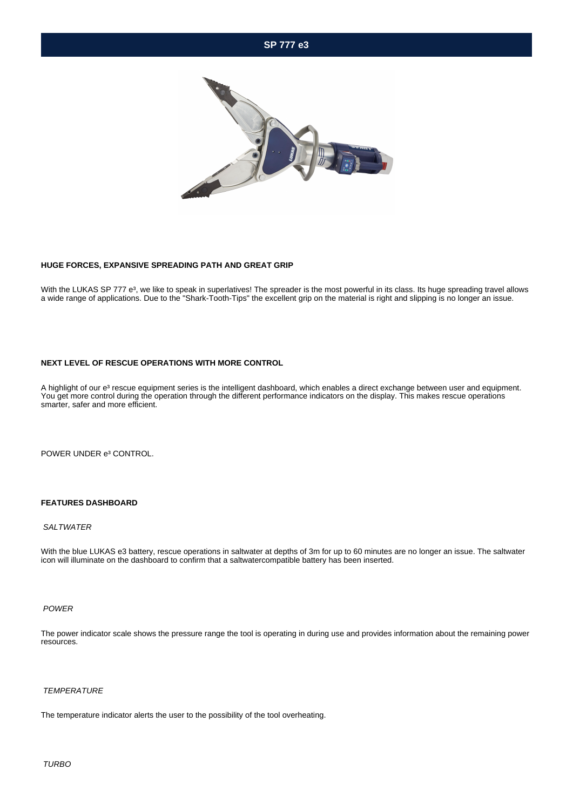## **SP 777 e3**



#### **HUGE FORCES, EXPANSIVE SPREADING PATH AND GREAT GRIP**

With the LUKAS SP 777 e<sup>3</sup>, we like to speak in superlatives! The spreader is the most powerful in its class. Its huge spreading travel allows a wide range of applications. Due to the "Shark-Tooth-Tips" the excellent grip on the material is right and slipping is no longer an issue.

#### **NEXT LEVEL OF RESCUE OPERATIONS WITH MORE CONTROL**

A highlight of our e<sup>3</sup> rescue equipment series is the intelligent dashboard, which enables a direct exchange between user and equipment. You get more control during the operation through the different performance indicators on the display. This makes rescue operations smarter, safer and more efficient.

POWER UNDER e<sup>3</sup> CONTROL.

### **FEATURES DASHBOARD**

#### **SALTWATER**

With the blue LUKAS e3 battery, rescue operations in saltwater at depths of 3m for up to 60 minutes are no longer an issue. The saltwater icon will illuminate on the dashboard to confirm that a saltwatercompatible battery has been inserted.

#### POWER

The power indicator scale shows the pressure range the tool is operating in during use and provides information about the remaining power resources.

#### **TEMPERATURE**

The temperature indicator alerts the user to the possibility of the tool overheating.